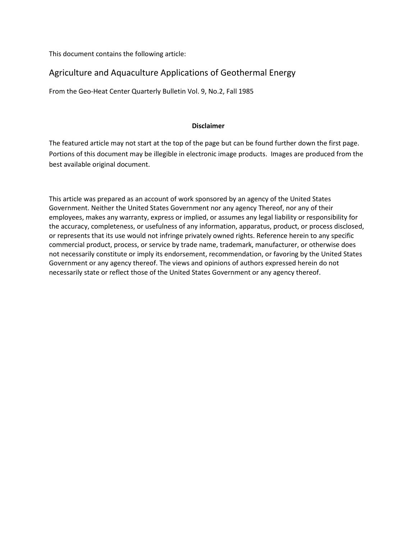This document contains the following article:

## Agriculture and Aquaculture Applications of Geothermal Energy

From the Geo-Heat Center Quarterly Bulletin Vol. 9, No.2, Fall 1985

### **Disclaimer**

The featured article may not start at the top of the page but can be found further down the first page. Portions of this document may be illegible in electronic image products. Images are produced from the best available original document.

This article was prepared as an account of work sponsored by an agency of the United States Government. Neither the United States Government nor any agency Thereof, nor any of their employees, makes any warranty, express or implied, or assumes any legal liability or responsibility for the accuracy, completeness, or usefulness of any information, apparatus, product, or process disclosed, or represents that its use would not infringe privately owned rights. Reference herein to any specific commercial product, process, or service by trade name, trademark, manufacturer, or otherwise does not necessarily constitute or imply its endorsement, recommendation, or favoring by the United States Government or any agency thereof. The views and opinions of authors expressed herein do not necessarily state or reflect those of the United States Government or any agency thereof.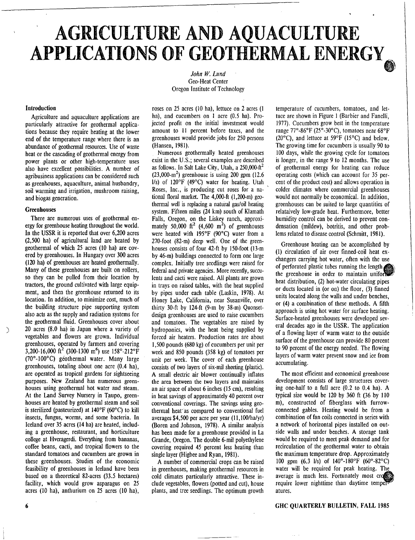# **AGRICULTURE AND AQUACULTURE APPLICATIONS OF GEOTHERMAL ENERGY**

*John W. Lund* Geo-Heat Center Oregon Institute of Technology

#### **Introduction**

Agriculture and aquaculture applications are particularly attractive for geothermal applications because they require heating at the lower end of the temperature range where there is an abundance of geothermal resources. Use of waste heat or the cascading of geothermal energy from power plants or other high-temperature uses also have excellent possibilities. A number of agribusiness applications can be considered such as greenhouses, aquaculture, animal husbandry, soil warming and irrigation, mushroom raising, and biogas generation.

#### **Greenhouses**

There are numerous uses of geothermal energy for greenhouse heating throughout the world. In the USSR it is reported that over 6,200 acres (2,500 ha) of agricultural land are heated by geothermal of which 25 acres (10 ha) are covered by greenhouses. In Hungary over 300 acres (120 ha) of greenhouses are heated geothermally. Many of these greenhouses are built on rollers, so they can be pulled from their location by tractors, the ground cultivated with large equipment, and then the greenhouse returned to its location. In addition, to minimize cost, much of the building structure pipe supporting system also acts as the supply and radiation systems for the geothermal fluid. Greenhouses cover about 20 acres (8.0 ha) in Japan where a variety of vegetables and flowers are grown. Individual greenhouses, operated by farmers and covering 3,200-16,000 ft<sup>2</sup> (300-1300 m<sup>6</sup>) use 158°-212°F (70°-100°C) geothermal water. Many large greenhouses, totaling about one acre (0.4 ha), are operated as tropical gardens for sightseeing purposes. New Zealand has numerous greenhouses using geothermal hot water and steam. At the Land Survey Nursery in Taupo, greenhouses are heated by geothermal steam and soil is sterilized (pasteurized) at 140°F (60°C) to kill insects, fungus, worms, and some bacteria. In Iceland over 35 acres (14 ha) are heated, including a greenhouse, restaurant, and horticulture college at Hveragerdi. Everything from bananas, coffee beans, cacti, and tropical flowers to the standard tomatoes and cucumbers are grown in these greenhouses. Studies of the economic feasibility of greenhouses in Iceland have been based on a theoretical 82-acres (33.5 hectares) facility, which would grow asparagus on 25 acres (10 ha), anthurium on 25 acres (10 ha),

roses on 25 acres (10 ha), lettuce on 2 acres (I ha), and cucumbers on 1 acre (0.5 ha). Projected profit on the initial investment would amount to 11 percent before taxes, and the greenhouses would provide jobs for 250 persons (Hansen, 1981).

Numerous geothermally heated greenhouses exist in the U.S.; several examples are described as follows. In Salt Lake City, Utah, a 250,000-ft<sup>2</sup>  $(23,000\text{-m}^2)$  greenhouse is using 200 gpm  $(12.6)$ 1/s) of 120°F (49°C) water for heating. Utah Roses, Inc., is producing cut roses for a national floral market. The 4,000-ft (1,200-m) geothermal well is replacing a natural gas/oil heating system. Fifteen miles (24 km) south of Klamath Falls, Oregon, on the Liskey ranch, approximately 50,000 ft<sup>2</sup> (4,600 m<sup>2</sup>) of greenhouses were heated with 195°F (90°C) water from a 270-foot (82-m) deep well. One of the greenhouses consists of four 42-ft by 150-foot (13-m by 46-m) buildings connected to form one large complex. Initially tree seedlings were raised for federal and private agencies. More recently, succulents and cacti were raised. All plants are grown in trays on raised tables, with the heat supplied by pipes under each table (Laskin, 1978). At Honey Lake, California, near Susanville, over thirty 30-ft by I24-ft (9-m by 38-m) Quonsetdesign greenhouses are used to raise cucumbers and tomatoes. The vegetables are raised by hydroponics, with the heat being supplied by forced air heaters. Production rates are about 1,500 pounds (680 kg) of cucumbers per unit per week and 850 pounds (358 kg) of tomatoes per unit per week. The cover of each greenhouse consists of two layers of six-mil sheeting (plastic). A small electric air blower continually inflates the area between the two layers and maintains an air space of about 6 inches (15 cm), resulting in heat savings of approximately 40 percent over conventional coverings. The savings using geothermal hear as compared to conventional fuel averages \$4,500 per acre per year (11,100/ha/yr) (Boren and Johnson, 1978). A similar analysis has been made for a greenhouse provided in La Grande, Oregon. The double 6-mil polyethylene covering required 45 percent less heating than single layer (Higbee and Ryan, 1981).

A number of commercial crops can be raised in greenhouses, making geothermal resources in cold climates particularly attractive. These include vegetables, flowers (potted and cut), house plants, and tree seedlings. The optimum growth temperature of cucumbers, tomatoes, and lettuce are shown in Figure I (Barbier and Fanelli, 1977). Cucumbers grow best in the temperature range 77°-86°F (25°-30°C), tomatoes near 68°F (20°C), and lettuce at 59°F (15°C) and below. The growing time for cucumbers is usually 90 to 100 days, while the growing cycle for tomatoes is longer, in the range 9 to 12 months. The use of geothermal energy for heating can reduce operating costs (which can account for 35 percent of the product cost) and allows operation in colder climates where commercial greenhouses would not normally be economical. In addition, greenhouses can be suited to large quantities of relataively low-grade heat. Furthermore, better humidity control can be derived to prevent condensation (mildew), botritis, and other problems related to disease control (Schmitt, 1981).

Greenhouse heating can be accomplished by (1) circulation of air over finned-coil heat exchangers carrying hot water, often with the use of perforated plastic tubes running the length **da,** the greenhouse in order to maintain unifor heat distribution, (2) hot-water circulating pipes or ducts located in (or on) the floor, (3) finned units located along the walls and under benches, or (4) a combination of these methods. A fifth approach is using hot water for surface heating. Surface-heated greenhouses were developed several decades ago in the USSR. The application of a flowing layer of warm water to the outside surface of the greenhouse can provide 80 percent to 90 percent of the energy needed. The flowing layers of warm water prevent snow and ice from accumulating.

The most efficient and economical greenhouse development consists of large structures covering one-half to a full acre (0.2 to 0.4 ha). A typical size would be 120 by 360 ft (36 by 110 m), constructed of fiberglass with furrowconnected gables. Heating would be from a combination of fan coils connected in series with a network of horizontal pipes installed on outside walls and under benches. A storage tank would be required to meet peak demand and for recirculation of the geothermal water to obtain the maximum temperature drop. Approximately 100 gpm (6.3 1/s) of 140°-180°F (60°-82°C) water will be required for peak heating. The average is much less. Fortunately most cr require lower nighttime than daytime tempe atures.

6 **GHC QUARTERLY BULLETIN, FALL 1985**

 $\mathcal{L}_{\mathcal{L}}$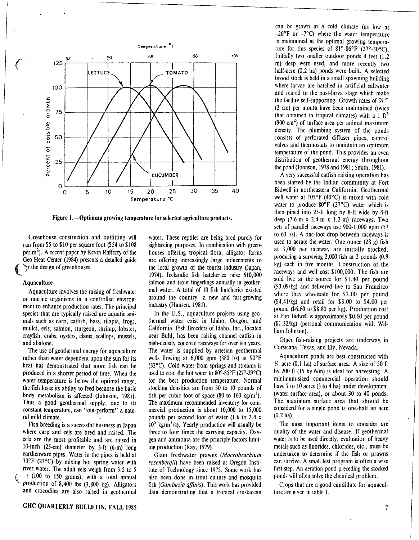

Figure 1.—Optimum growing temperature for selected agriculture products.

Greenhouse construction and outfitting will run from \$5 to \$10 per square foot (\$54 to \$108 per  $m<sup>2</sup>$ ). A recent paper by Kevin Rafferty of the Geo-Heat Center (1984) presents a detailed guide In the design of greenhouses.

#### **Aquaculture**

Aquaculture involves the raising of freshwater or marine organisms in a controlled environment to enhance production rates. The principal species that are typically raised are aquatic animals such as carp, catfish, bass, tilapia, frogs, mullet, eels, salmon, sturgeon, shrimp, lobster, crayfish, crabs, oysters, clams, scallops, mussels, and abalone.

The use of geothermal energy for aquaculture rather than water dependent upon the sun for its heat has demonstrated that more fish can be produced in a shorter period of time. When the water temperature is below the optimal range, the fish loses its ability to feed because the basic body metabolism is affected (Johnson, 1981). Thus a good geothermal supply, due to its constant temperature, can "out-perform" a natural mild climate.

Fish breeding is a successful business in Japan where carp and eels are bred and raised. The eels are the most profitable and are raised in 10-inch (25-cm) diameter by 3-ft (6-m) long earthenware pipes. Water in the pipes is held at 73°F (23°C) by mixing hot spring water with river water. The adult eels weigh from 3.5 to 5 (100 to 150 grams), with a total annual .production of 8,400 lbs (3,800 kg). Alligators and crocodiles are also raised in geothermal

water. These reptiles are being bred purely for sightseeing purposes. In combination with greenhouses offering tropical flora, alligator farms are offering increasingly large inducements to the local growth of the tourist industry (Japan, 1974). Icelandic fish hatcheries raise 610,000 salmon and trout fingerlings annually in geothermal water. A total of 10 fish hatcheries existed around the country-a new and fast-growing industry (Hansen, 1981).

In the U.S., aquaculture projects using geothermal water exist in Idaho, Oregon, and California. Fish Breeders of Idaho, Inc., located near Buhl, has been raising channel catfish in high-density concrete raceways for over ten years. The water is supplied by artesian geothermal wells flowing at 6,000 gpm (380 1/s) at 90°F (32°C). Cold water from springs and streams is used to cool the hot water to 80°-85°F (27°-29°C) for the best production temperature. Normal stocking densities are from 50 to 10 pounds of fish per cubic foot of space  $(80 \text{ to } 160 \text{ kg/m}^3)$ . The maximum recommended inventory for commercial production is about 10,000 to 15,000 pounds per second foot of water (1.6 to 2.4 x  $10^5$  kg/m<sup>3</sup>/s). Yearly production will usually be three to four times the carrying capacity. Oxygen and ammonia are the principle factors limiting production (Ray, 1979).

Giant freshwater prawns (Macrobrachium rosenberqii) have been raised at Oregon Institute of Technology since 1975. Some work has also been done in trout culture and mosquito fish (Gambuzia affinis). This work has provided data demonstrating that a tropical crustacean

can be grown in a cold climate (as low as -20°F or -7°C) where the water temperature is maintained at the optimal growing temperature for this species of 81°-86°F (27°-30°C). Initially two smaller outdoor ponds 4 feet (1.2 m) deep were used, and more recently two half-acre (0.2 ha) ponds were built. A selected brood stock is held in a small spawning building where larvae are hatched in artificial saltwater and reared to the post-larva stage which make the facility self-supporting. Growth rates of  $\frac{1}{8}$  " (2 cm) per month have been maintained (twice that obtained in tropical climates) with a 1  $\text{ft}^2$  $(900 \text{ cm}^2)$  of surface area per animal maximum density. The plumbing system of the ponds consists of perforated diffuser pipes, control valves and thermostats to maintain an opitmum temperature of the pond. This provides an even distribution of geothermal energy throughout the pond (Johnson, 1978 and 1981; Smith, 1981).

A very successful catfish raising operation has• been started by the Indian community at Fort Bidwell in northeastern California. Geothermal well water at 105°F (40°C) is mixed with cold water to produce 80°F (27°C) water which is then piped into 25-ft long by 8-ft wide by 4-ft deep (7.6-m x 2.4-m x 1.2-m) raceways. Two sets of parallel raceways use 900-1,000 gpm (57 to 63 1/s). A one-foot drop between raceways is used to aerate the water. One ounce (28 g) fish at 3,000 per raceway are initially stocked, producing a surviving 2,000 fish at 2 pounds (0.9 kg) each in five months. Construction of the raceways and well cost \$100,000. The fish are sold live at the source for \$1.40 per pound (\$3.09/kg) and delivered live to San Francisco where they wholesale for \$2.00 per pound (\$4.41/kg) and retail for \$3.00 to \$4.00 per pound (\$6.60 to \$8.80 per kg). Production cost at Fort Bidwell is approximately \$0.60 per pound (\$1.32/kg) (personal communication with William Johnson).

Other fish-raising projects are underway in Corsicana, Texas, and Ely, Nevada.

Aquaculture ponds are best constructed with *1/4* acre (0.1 ha) of surface area. A size of 50 ft by 200 ft (15 by 6/m) is ideal for harvesting. A minimum-sized commercial operation should have 7 to 10 acres (3 to 4 ha) under development (water surface area), or about 30 to 40 ponds. The maximum surface area that should be considerd for a single pond is one-half an acre (water surface area), or about 50 to 40 points.<br>The maximum surface area that should be<br>considerd for a single pond is one-half an acre<br>(0.2 ha).

The most important items to consider are quality of the water and disease. If geothermal water is to be used directly, evaluation of heavy metals such as fluorides, chlorides, etc., must be undertaken to determine if the fish or prawns can survive. A small test program is often a wise first step. An aeration pond preceding the stocked ponds will often solve the chemical problem.

Crops that are a good candidate for aquaculture are given in table I.

 $\overline{\mathcal{L}}$